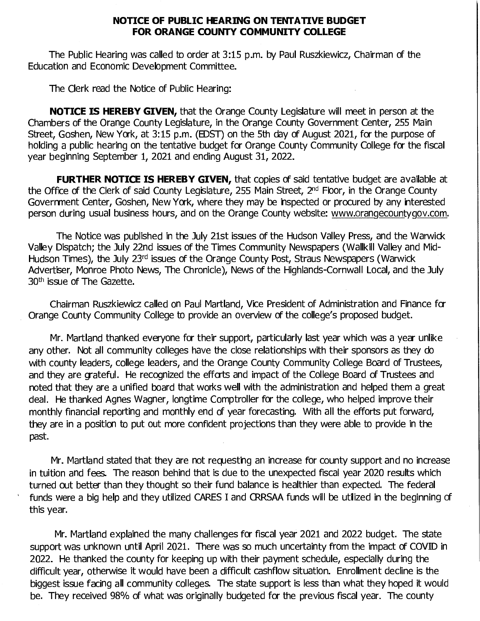## **NOTICE OF PUBLIC HEARING ON TENTATIVE BUDGET FOR ORANGE COUNTY COMMUNITY COLLEGE**

The Public Hearing was called to order at 3:15 p.m. by Paul Ruszkiewicz, Chairman of the Education and Economic Development Committee.

The Clerk read the Notice of Public Hearing:

**NOTICE IS HEREBY GIVEN,** that the Orange County Legislature will meet in person at the Chambers of the Orange County Legislature, in the Orange County Government Center, 255 Main Street, Goshen, New York, at 3: 15 p.m. (EDST) on the 5th day of August 2021, for the purpose of holding a public hearing on the tentative budget for Orange County Community College for the fiscal year beginning September 1, 2021 and ending August 31, 2022.

**FURTHER NOTICE IS HEREBY GIVEN, that copies of said tentative budget are available at** the Office of the Clerk of said County Legislature, 255 Main Street, 2<sup>nd</sup> Floor, in the Orange County Government Center, Goshen, New York, where they may be inspected or procured by any interested person during usual business hours, and on the Orange County website: www.orangecountygov.com.

The Notice was published in the July 21st issues of the Hudson Valley Press, and the Warwick Valley Dispatch; the July 22nd issues of the Times Community Newspapers (Wallkill Valley and Mid-Hudson Times), the July 23rd issues of the Orange County Post, Straus Newspapers (Warwick Advertiser, Monroe Photo News, The Chronicle), News of the Highlands-Cornwall Local, and the July 30<sup>th</sup> issue of The Gazette.

Chairman Ruszkiewicz called on Paul Martland, Vice President of Administration and Finance for Orange County Community College to provide an overview of the college's proposed budget.

Mr. Martland thanked everyone for their support, particularly last year which was a year unlike any other. Not all community colleges have the close relationships with their sponsors as they do with county leaders, college leaders, and the Orange County Community College Board of Trustees, and they are grateful. He recognized the efforts and impact of the College Board of Trustees and noted that they are a unified board that works well with the administration and helped them a great deal. He thanked Agnes Wagner, longtime Comptroller for the college, who helped improve their monthly financial reporting and monthly end of year forecasting. With all the efforts put forward, they are in a position to put out more confident projections than they were able to provide in the past.

Mr. Martland stated that they are not requesting an increase for county support and no increase in tuition and fees. The reason behind that is due to the unexpected fiscal year 2020 results which turned out better than they thought so their fund balance is healthier than expected. The federal funds were a big help and they utilized CARES I and CRRSAA funds will be utilized in the beginning of this year.

Mr. Martland explained the many challenges for fiscal year 2021 and 2022 budget. The state support was unknown until April 2021. There was so much uncertainty from the impact of COVID in 2022. He thanked the county for keeping up with their payment schedule, especially during the difficult year, otherwise it would have been a difficult cashflow situation. Enrollment decline is the biggest issue facing all community colleges. The state support is less than what they hoped it would be. They received 98% of what was originally budgeted for the previous fiscal year. The county